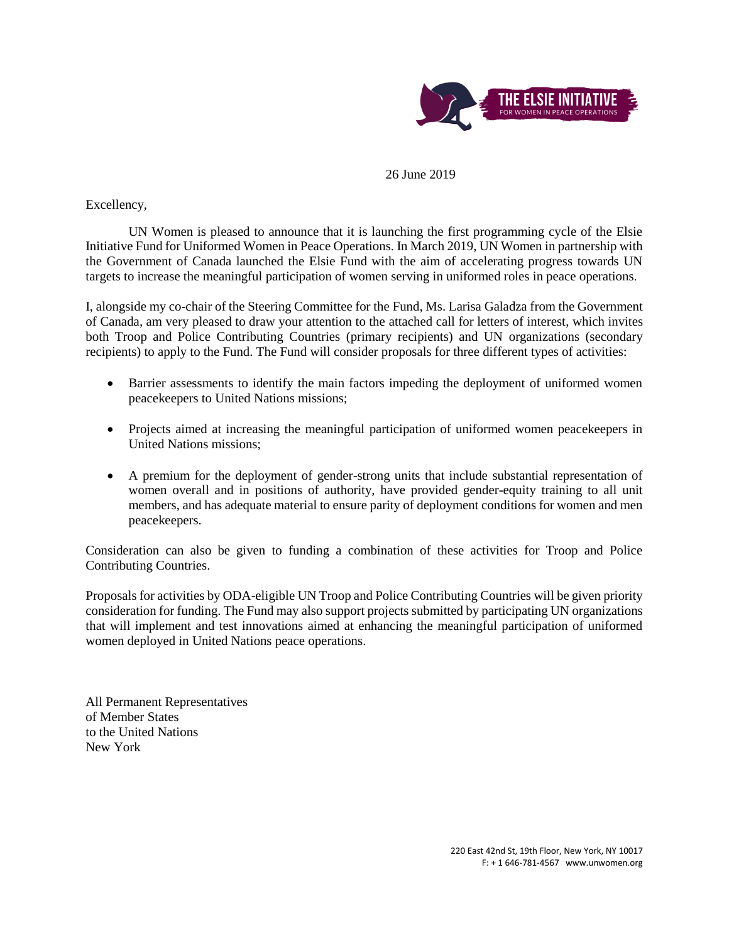

26 June 2019

Excellency,

UN Women is pleased to announce that it is launching the first programming cycle of the Elsie Initiative Fund for Uniformed Women in Peace Operations. In March 2019, UN Women in partnership with the Government of Canada launched the Elsie Fund with the aim of accelerating progress towards UN targets to increase the meaningful participation of women serving in uniformed roles in peace operations.

I, alongside my co-chair of the Steering Committee for the Fund, Ms. Larisa Galadza from the Government of Canada, am very pleased to draw your attention to the attached call for letters of interest, which invites both Troop and Police Contributing Countries (primary recipients) and UN organizations (secondary recipients) to apply to the Fund. The Fund will consider proposals for three different types of activities:

- Barrier assessments to identify the main factors impeding the deployment of uniformed women peacekeepers to United Nations missions;
- Projects aimed at increasing the meaningful participation of uniformed women peacekeepers in United Nations missions;
- A premium for the deployment of gender-strong units that include substantial representation of women overall and in positions of authority, have provided gender-equity training to all unit members, and has adequate material to ensure parity of deployment conditions for women and men peacekeepers.

Consideration can also be given to funding a combination of these activities for Troop and Police Contributing Countries.

Proposals for activities by ODA-eligible UN Troop and Police Contributing Countries will be given priority consideration for funding. The Fund may also support projects submitted by participating UN organizations that will implement and test innovations aimed at enhancing the meaningful participation of uniformed women deployed in United Nations peace operations.

All Permanent Representatives of Member States to the United Nations New York